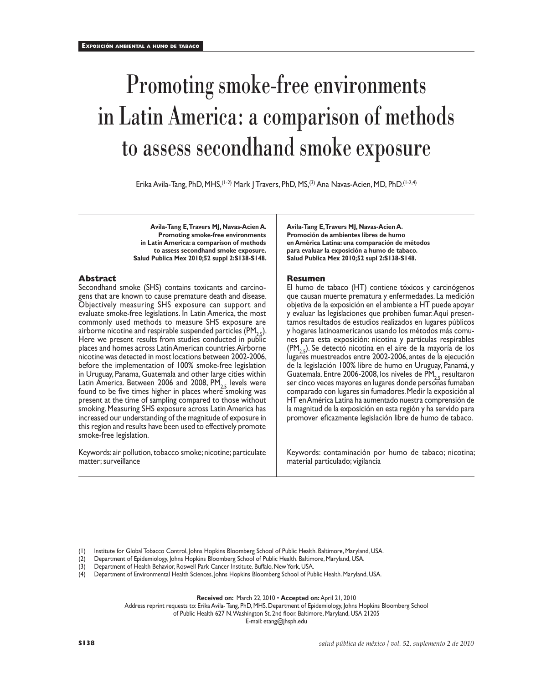# Promoting smoke-free environments in Latin America: a comparison of methods to assess secondhand smoke exposure

Erika Avila-Tang, PhD, MHS,(1-2) Mark J Travers, PhD, MS,(3) Ana Navas-Acien, MD, PhD.(1-2,4)

**Avila-Tang E, Travers MJ, Navas-Acien A. Promoting smoke-free environments in Latin America: a comparison of methods to assess secondhand smoke exposure. Salud Publica Mex 2010;52 suppl 2:S138-S148.**

### **Abstract**

Secondhand smoke (SHS) contains toxicants and carcinogens that are known to cause premature death and disease. Objectively measuring SHS exposure can support and evaluate smoke-free legislations. In Latin America, the most commonly used methods to measure SHS exposure are airborne nicotine and respirable suspended particles  $(PM_{2.5})$ . Here we present results from studies conducted in public places and homes across Latin American countries. Airborne nicotine was detected in most locations between 2002-2006, before the implementation of 100% smoke-free legislation in Uruguay, Panama, Guatemala and other large cities within Latin America. Between 2006 and 2008, PM $_{2.5}$  levels were found to be five times higher in places where smoking was present at the time of sampling compared to those without smoking. Measuring SHS exposure across Latin America has increased our understanding of the magnitude of exposure in this region and results have been used to effectively promote smoke-free legislation.

Keywords: air pollution, tobacco smoke; nicotine; particulate matter; surveillance

**Avila-Tang E, Travers MJ, Navas-Acien A. Promoción de ambientes libres de humo en América Latina: una comparación de métodos para evaluar la exposición a humo de tabaco. Salud Publica Mex 2010;52 supl 2:S138-S148.**

#### **Resumen**

El humo de tabaco (HT) contiene tóxicos y carcinógenos que causan muerte prematura y enfermedades. La medición objetiva de la exposición en el ambiente a HT puede apoyar y evaluar las legislaciones que prohiben fumar. Aquí presentamos resultados de estudios realizados en lugares públicos y hogares latinoamericanos usando los métodos más comunes para esta exposición: nicotina y partículas respirables  $(PM, 5)$ . Se detectó nicotina en el aire de la mayoría de los lugares muestreados entre 2002-2006, antes de la ejecución de la legislación 100% libre de humo en Uruguay, Panamá, y Guatemala. Entre 2006-2008, los niveles de PM<sub>25</sub> resultaron ser cinco veces mayores en lugares donde personas fumaban comparado con lugares sin fumadores. Medir la exposición al HT en América Latina ha aumentado nuestra comprensión de la magnitud de la exposición en esta región y ha servido para promover eficazmente legislación libre de humo de tabaco.

Keywords: contaminación por humo de tabaco; nicotina; material particulado; vigilancia

(1) Institute for Global Tobacco Control, Johns Hopkins Bloomberg School of Public Health. Baltimore, Maryland, USA.

(2) Department of Epidemiology, Johns Hopkins Bloomberg School of Public Health. Baltimore, Maryland, USA.

(3) Department of Health Behavior, Roswell Park Cancer Institute. Buffalo, New York, USA.

(4) Department of Environmental Health Sciences, Johns Hopkins Bloomberg School of Public Health. Maryland, USA.

**Received on:** March 22, 2010 • **Accepted on:** April 21, 2010

Address reprint requests to: Erika Avila- Tang, PhD, MHS. Department of Epidemiology, Johns Hopkins Bloomberg School

of Public Health 627 N. Washington St. 2nd floor. Baltimore, Maryland, USA 21205

E-mail: etang@jhsph.edu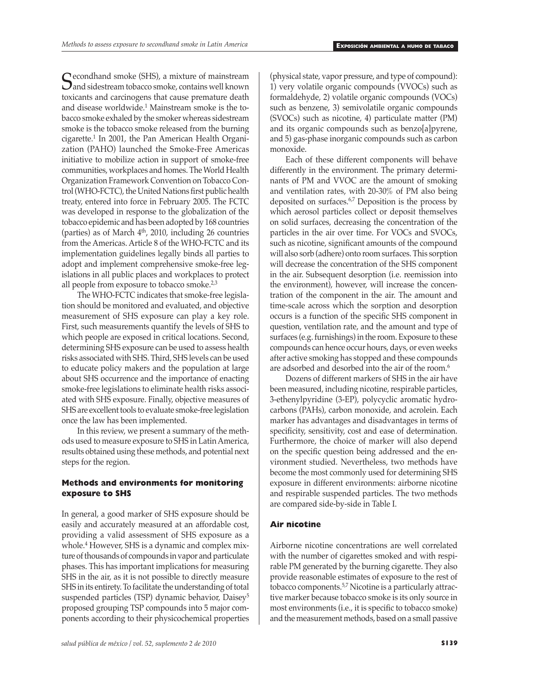Secondhand smoke (SHS), a mixture of mainstream<br>
and sidestream tobacco smoke, contains well known<br>
toxiconta and carginogens that cause premature death toxicants and carcinogens that cause premature death and disease worldwide.<sup>1</sup> Mainstream smoke is the tobacco smoke exhaled by the smoker whereas sidestream smoke is the tobacco smoke released from the burning cigarette.<sup>1</sup> In 2001, the Pan American Health Organization (PAHO) launched the Smoke-Free Americas initiative to mobilize action in support of smoke-free communities, workplaces and homes. The World Health Organization Framework Convention on Tobacco Control (WHO-FCTC), the United Nations first public health treaty, entered into force in February 2005. The FCTC was developed in response to the globalization of the tobacco epidemic and has been adopted by 168 countries (parties) as of March  $4<sup>th</sup>$ , 2010, including 26 countries from the Americas. Article 8 of the WHO-FCTC and its implementation guidelines legally binds all parties to adopt and implement comprehensive smoke-free legislations in all public places and workplaces to protect all people from exposure to tobacco smoke.<sup>2,3</sup>

The WHO-FCTC indicates that smoke-free legislation should be monitored and evaluated, and objective measurement of SHS exposure can play a key role. First, such measurements quantify the levels of SHS to which people are exposed in critical locations. Second, determining SHS exposure can be used to assess health risks associated with SHS. Third, SHS levels can be used to educate policy makers and the population at large about SHS occurrence and the importance of enacting smoke-free legislations to eliminate health risks associated with SHS exposure. Finally, objective measures of SHS are excellent tools to evaluate smoke-free legislation once the law has been implemented.

In this review, we present a summary of the methods used to measure exposure to SHS in Latin America, results obtained using these methods, and potential next steps for the region.

# **Methods and environments for monitoring exposure to SHS**

In general, a good marker of SHS exposure should be easily and accurately measured at an affordable cost, providing a valid assessment of SHS exposure as a whole.4 However, SHS is a dynamic and complex mixture of thousands of compounds in vapor and particulate phases. This has important implications for measuring SHS in the air, as it is not possible to directly measure SHS in its entirety. To facilitate the understanding of total suspended particles (TSP) dynamic behavior, Daisey<sup>5</sup> proposed grouping TSP compounds into 5 major components according to their physicochemical properties (physical state, vapor pressure, and type of compound): 1) very volatile organic compounds (VVOCs) such as formaldehyde, 2) volatile organic compounds (VOCs) such as benzene, 3) semivolatile organic compounds (SVOCs) such as nicotine, 4) particulate matter (PM) and its organic compounds such as benzo[a]pyrene, and 5) gas-phase inorganic compounds such as carbon monoxide.

Each of these different components will behave differently in the environment. The primary determinants of PM and VVOC are the amount of smoking and ventilation rates, with 20-30% of PM also being deposited on surfaces.6,7 Deposition is the process by which aerosol particles collect or deposit themselves on solid surfaces, decreasing the concentration of the particles in the air over time. For VOCs and SVOCs, such as nicotine, significant amounts of the compound will also sorb (adhere) onto room surfaces. This sorption will decrease the concentration of the SHS component in the air. Subsequent desorption (i.e. reemission into the environment), however, will increase the concentration of the component in the air. The amount and time-scale across which the sorption and desorption occurs is a function of the specific SHS component in question, ventilation rate, and the amount and type of surfaces (e.g. furnishings) in the room. Exposure to these compounds can hence occur hours, days, or even weeks after active smoking has stopped and these compounds are adsorbed and desorbed into the air of the room.<sup>6</sup>

Dozens of different markers of SHS in the air have been measured, including nicotine, respirable particles, 3-ethenylpyridine (3-EP), polycyclic aromatic hydrocarbons (PAHs), carbon monoxide, and acrolein. Each marker has advantages and disadvantages in terms of specificity, sensitivity, cost and ease of determination. Furthermore, the choice of marker will also depend on the specific question being addressed and the environment studied. Nevertheless, two methods have become the most commonly used for determining SHS exposure in different environments: airborne nicotine and respirable suspended particles. The two methods are compared side-by-side in Table I.

# **Air nicotine**

Airborne nicotine concentrations are well correlated with the number of cigarettes smoked and with respirable PM generated by the burning cigarette. They also provide reasonable estimates of exposure to the rest of tobacco components.5,7 Nicotine is a particularly attractive marker because tobacco smoke is its only source in most environments (i.e., it is specific to tobacco smoke) and the measurement methods, based on a small passive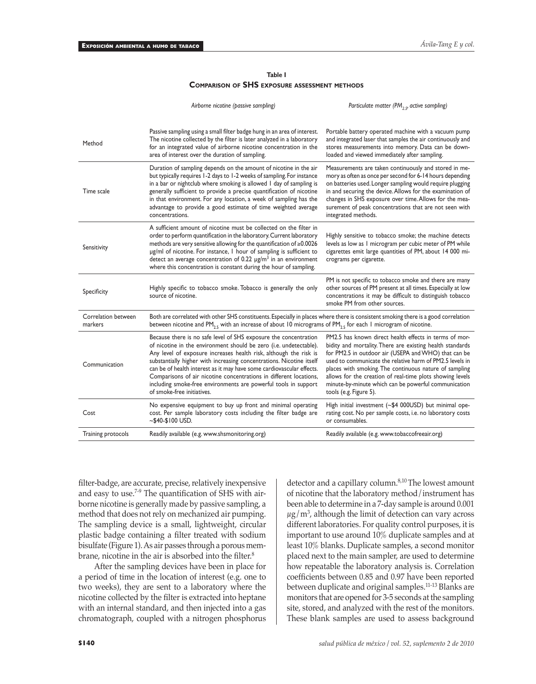#### **Table I Comparison of SHS exposure assessment methods**

|                                | Airborne nicotine (passive sampling)                                                                                                                                                                                                                                                                                                                                                                                                                                                                                                | Particulate matter (PM <sub>25</sub> , active sampling)                                                                                                                                                                                                                                                                                                                                                                                          |
|--------------------------------|-------------------------------------------------------------------------------------------------------------------------------------------------------------------------------------------------------------------------------------------------------------------------------------------------------------------------------------------------------------------------------------------------------------------------------------------------------------------------------------------------------------------------------------|--------------------------------------------------------------------------------------------------------------------------------------------------------------------------------------------------------------------------------------------------------------------------------------------------------------------------------------------------------------------------------------------------------------------------------------------------|
| Method                         | Passive sampling using a small filter badge hung in an area of interest.<br>The nicotine collected by the filter is later analyzed in a laboratory<br>for an integrated value of airborne nicotine concentration in the<br>area of interest over the duration of sampling.                                                                                                                                                                                                                                                          | Portable battery operated machine with a vacuum pump<br>and integrated laser that samples the air continuously and<br>stores measurements into memory. Data can be down-<br>loaded and viewed immediately after sampling.                                                                                                                                                                                                                        |
| Time scale                     | Duration of sampling depends on the amount of nicotine in the air<br>but typically requires 1-2 days to 1-2 weeks of sampling. For instance<br>in a bar or nightclub where smoking is allowed I day of sampling is<br>generally sufficient to provide a precise quantification of nicotine<br>in that environment. For any location, a week of sampling has the<br>advantage to provide a good estimate of time weighted average<br>concentrations.                                                                                 | Measurements are taken continuously and stored in me-<br>mory as often as once per second for 6-14 hours depending<br>on batteries used. Longer sampling would require plugging<br>in and securing the device. Allows for the examination of<br>changes in SHS exposure over time. Allows for the mea-<br>surement of peak concentrations that are not seen with<br>integrated methods.                                                          |
| Sensitivity                    | A sufficient amount of nicotine must be collected on the filter in<br>order to perform quantification in the laboratory. Current laboratory<br>methods are very sensitive allowing for the quantification of ≥0.0026<br>µg/ml of nicotine. For instance, I hour of sampling is sufficient to<br>detect an average concentration of 0.22 $\mu$ g/m <sup>3</sup> in an environment<br>where this concentration is constant during the hour of sampling.                                                                               | Highly sensitive to tobacco smoke; the machine detects<br>levels as low as 1 microgram per cubic meter of PM while<br>cigarettes emit large quantities of PM, about 14 000 mi-<br>crograms per cigarette.                                                                                                                                                                                                                                        |
| Specificity                    | Highly specific to tobacco smoke. Tobacco is generally the only<br>source of nicotine.                                                                                                                                                                                                                                                                                                                                                                                                                                              | PM is not specific to tobacco smoke and there are many<br>other sources of PM present at all times. Especially at low<br>concentrations it may be difficult to distinguish tobacco<br>smoke PM from other sources.                                                                                                                                                                                                                               |
| Correlation between<br>markers | Both are correlated with other SHS constituents. Especially in places where there is consistent smoking there is a good correlation<br>between nicotine and PM <sub>25</sub> with an increase of about 10 micrograms of PM <sub>25</sub> for each 1 microgram of nicotine.                                                                                                                                                                                                                                                          |                                                                                                                                                                                                                                                                                                                                                                                                                                                  |
| Communication                  | Because there is no safe level of SHS exposure the concentration<br>of nicotine in the environment should be zero (i.e. undetectable).<br>Any level of exposure increases health risk, although the risk is<br>substantially higher with increasing concentrations. Nicotine itself<br>can be of health interest as it may have some cardiovascular effects.<br>Comparisons of air nicotine concentrations in different locations,<br>including smoke-free environments are powerful tools in support<br>of smoke-free initiatives. | PM2.5 has known direct health effects in terms of mor-<br>bidity and mortality. There are existing health standards<br>for PM2.5 in outdoor air (USEPA and WHO) that can be<br>used to communicate the relative harm of PM2.5 levels in<br>places with smoking. The continuous nature of sampling<br>allows for the creation of real-time plots showing levels<br>minute-by-minute which can be powerful communication<br>tools (e.g. Figure 5). |
| Cost                           | No expensive equipment to buy up front and minimal operating<br>cost. Per sample laboratory costs including the filter badge are<br>$~100$ USD.                                                                                                                                                                                                                                                                                                                                                                                     | High initial investment (~\$4 000USD) but minimal ope-<br>rating cost. No per sample costs, i.e. no laboratory costs<br>or consumables.                                                                                                                                                                                                                                                                                                          |
| Training protocols             | Readily available (e.g. www.shsmonitoring.org)                                                                                                                                                                                                                                                                                                                                                                                                                                                                                      | Readily available (e.g. www.tobaccofreeair.org)                                                                                                                                                                                                                                                                                                                                                                                                  |

filter-badge, are accurate, precise, relatively inexpensive and easy to use.7-9 The quantification of SHS with airborne nicotine is generally made by passive sampling, a method that does not rely on mechanized air pumping. The sampling device is a small, lightweight, circular plastic badge containing a filter treated with sodium bisulfate (Figure 1). As air passes through a porous membrane, nicotine in the air is absorbed into the filter.<sup>8</sup>

After the sampling devices have been in place for a period of time in the location of interest (e.g. one to two weeks), they are sent to a laboratory where the nicotine collected by the filter is extracted into heptane with an internal standard, and then injected into a gas chromatograph, coupled with a nitrogen phosphorus

of nicotine that the laboratory method/instrument has been able to determine in a 7-day sample is around 0.001  $\mu$ g/m<sup>3</sup>, although the limit of detection can vary across different laboratories. For quality control purposes, it is important to use around 10% duplicate samples and at least 10% blanks. Duplicate samples, a second monitor placed next to the main sampler, are used to determine how repeatable the laboratory analysis is. Correlation coefficients between 0.85 and 0.97 have been reported between duplicate and original samples.11-13 Blanks are monitors that are opened for 3-5 seconds at the sampling site, stored, and analyzed with the rest of the monitors. These blank samples are used to assess background

detector and a capillary column.<sup>8,10</sup> The lowest amount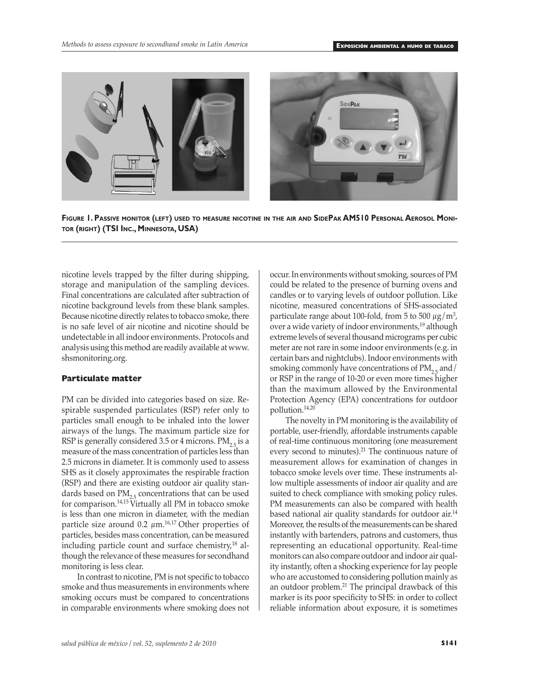

**Figure 1. Passive monitor (left) used to measure nicotine in the air and SidePak AM510 Personal Aerosol Monitor (right) (TSI Inc., Minnesota, USA)**

nicotine levels trapped by the filter during shipping, storage and manipulation of the sampling devices. Final concentrations are calculated after subtraction of nicotine background levels from these blank samples. Because nicotine directly relates to tobacco smoke, there is no safe level of air nicotine and nicotine should be undetectable in all indoor environments. Protocols and analysis using this method are readily available at www. shsmonitoring.org.

## **Particulate matter**

PM can be divided into categories based on size. Respirable suspended particulates (RSP) refer only to particles small enough to be inhaled into the lower airways of the lungs. The maximum particle size for RSP is generally considered 3.5 or 4 microns.  $PM_{2.5}$  is a measure of the mass concentration of particles less than 2.5 microns in diameter. It is commonly used to assess SHS as it closely approximates the respirable fraction (RSP) and there are existing outdoor air quality standards based on  $PM_{2,5}$  concentrations that can be used for comparison.14,15 Virtually all PM in tobacco smoke is less than one micron in diameter, with the median particle size around  $0.2 \ \mu m$ .<sup>16,17</sup> Other properties of particles, besides mass concentration, can be measured including particle count and surface chemistry, $18$  although the relevance of these measures for secondhand monitoring is less clear.

In contrast to nicotine, PM is not specific to tobacco smoke and thus measurements in environments where smoking occurs must be compared to concentrations in comparable environments where smoking does not occur. In environments without smoking, sources of PM could be related to the presence of burning ovens and candles or to varying levels of outdoor pollution. Like nicotine, measured concentrations of SHS-associated particulate range about 100-fold, from 5 to 500  $\mu$ g/m<sup>3</sup>, over a wide variety of indoor environments,<sup>19</sup> although extreme levels of several thousand micrograms per cubic meter are not rare in some indoor environments (e.g. in certain bars and nightclubs). Indoor environments with smoking commonly have concentrations of  $PM_{2.5}$  and/ or RSP in the range of 10-20 or even more times higher than the maximum allowed by the Environmental Protection Agency (EPA) concentrations for outdoor pollution.14,20

The novelty in PM monitoring is the availability of portable, user-friendly, affordable instruments capable of real-time continuous monitoring (one measurement every second to minutes).<sup>21</sup> The continuous nature of measurement allows for examination of changes in tobacco smoke levels over time. These instruments allow multiple assessments of indoor air quality and are suited to check compliance with smoking policy rules. PM measurements can also be compared with health based national air quality standards for outdoor air.<sup>14</sup> Moreover, the results of the measurements can be shared instantly with bartenders, patrons and customers, thus representing an educational opportunity. Real-time monitors can also compare outdoor and indoor air quality instantly, often a shocking experience for lay people who are accustomed to considering pollution mainly as an outdoor problem.21 The principal drawback of this marker is its poor specificity to SHS: in order to collect reliable information about exposure, it is sometimes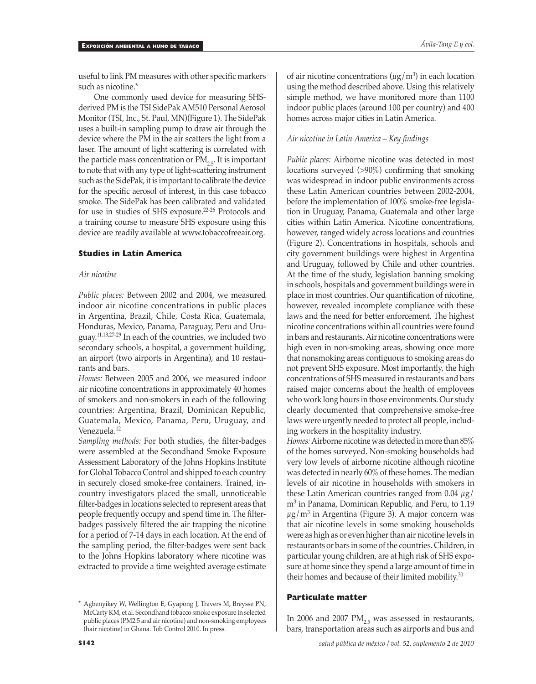useful to link PM measures with other specific markers such as nicotine.\*

One commonly used device for measuring SHSderived PM is the TSI SidePak AM510 Personal Aerosol Monitor (TSI, Inc., St. Paul, MN)(Figure 1). The SidePak uses a built-in sampling pump to draw air through the device where the PM in the air scatters the light from a laser. The amount of light scattering is correlated with the particle mass concentration or  $PM_{25}$ . It is important to note that with any type of light-scattering instrument such as the SidePak, it is important to calibrate the device for the specific aerosol of interest, in this case tobacco smoke. The SidePak has been calibrated and validated for use in studies of SHS exposure.22-26 Protocols and a training course to measure SHS exposure using this device are readily available at www.tobaccofreeair.org.

### **Studies in Latin America**

#### *Air nicotine*

*Public places:* Between 2002 and 2004, we measured indoor air nicotine concentrations in public places in Argentina, Brazil, Chile, Costa Rica, Guatemala, Honduras, Mexico, Panama, Paraguay, Peru and Uruguay.11,13,27-29 In each of the countries, we included two secondary schools, a hospital, a government building, an airport (two airports in Argentina), and 10 restaurants and bars.

*Homes:* Between 2005 and 2006, we measured indoor air nicotine concentrations in approximately 40 homes of smokers and non-smokers in each of the following countries: Argentina, Brazil, Dominican Republic, Guatemala, Mexico, Panama, Peru, Uruguay, and Venezuela.<sup>12</sup>

*Sampling methods:* For both studies, the filter-badges were assembled at the Secondhand Smoke Exposure Assessment Laboratory of the Johns Hopkins Institute for Global Tobacco Control and shipped to each country in securely closed smoke-free containers. Trained, incountry investigators placed the small, unnoticeable filter-badges in locations selected to represent areas that people frequently occupy and spend time in. The filterbadges passively filtered the air trapping the nicotine for a period of 7-14 days in each location. At the end of the sampling period, the filter-badges were sent back to the Johns Hopkins laboratory where nicotine was extracted to provide a time weighted average estimate

of air nicotine concentrations ( $\mu$ g/m<sup>3</sup>) in each location using the method described above. Using this relatively simple method, we have monitored more than 1100 indoor public places (around 100 per country) and 400 homes across major cities in Latin America.

#### *Air nicotine in Latin America – Key findings*

*Public places:* Airborne nicotine was detected in most locations surveyed (>90%) confirming that smoking was widespread in indoor public environments across these Latin American countries between 2002-2004, before the implementation of 100% smoke-free legislation in Uruguay, Panama, Guatemala and other large cities within Latin America. Nicotine concentrations, however, ranged widely across locations and countries (Figure 2). Concentrations in hospitals, schools and city government buildings were highest in Argentina and Uruguay, followed by Chile and other countries. At the time of the study, legislation banning smoking in schools, hospitals and government buildings were in place in most countries. Our quantification of nicotine, however, revealed incomplete compliance with these laws and the need for better enforcement. The highest nicotine concentrations within all countries were found in bars and restaurants. Air nicotine concentrations were high even in non-smoking areas, showing once more that nonsmoking areas contiguous to smoking areas do not prevent SHS exposure. Most importantly, the high concentrations of SHS measured in restaurants and bars raised major concerns about the health of employees who work long hours in those environments. Our study clearly documented that comprehensive smoke-free laws were urgently needed to protect all people, including workers in the hospitality industry.

*Homes:* Airborne nicotine was detected in more than 85% of the homes surveyed. Non-smoking households had very low levels of airborne nicotine although nicotine was detected in nearly 60% of these homes. The median levels of air nicotine in households with smokers in these Latin American countries ranged from 0.04  $\mu$ g/ m3 in Panama, Dominican Republic, and Peru, to 1.19  $\mu$ g/m<sup>3</sup> in Argentina (Figure 3). A major concern was that air nicotine levels in some smoking households were as high as or even higher than air nicotine levels in restaurants or bars in some of the countries. Children, in particular young children, are at high risk of SHS exposure at home since they spend a large amount of time in their homes and because of their limited mobility.<sup>30</sup>

# **Particulate matter**

In 2006 and 2007  $PM_{2.5}$  was assessed in restaurants, bars, transportation areas such as airports and bus and

<sup>\*</sup> Agbenyikey W, Wellington E, Gyapong J, Travers M, Breysse PN, McCarty KM, et al. Secondhand tobacco smoke exposure in selected public places (PM2.5 and air nicotine) and non-smoking employees (hair nicotine) in Ghana. Tob Control 2010. In press.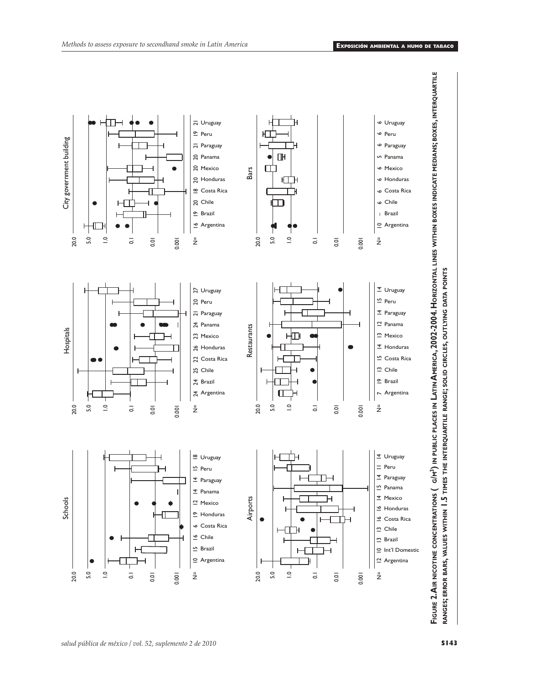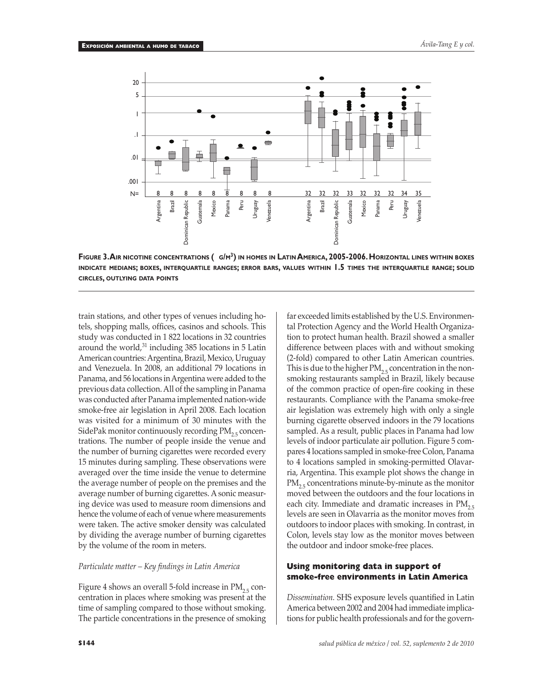

**Figure 3. Air nicotine concentrations (µ g/m3) in homes in Latin America, 2005-2006. Horizontal lines within boxes indicate medians; boxes, interquartile ranges; error bars, values within 1.5 times the interquartile range; solid**

train stations, and other types of venues including hotels, shopping malls, offices, casinos and schools. This study was conducted in 1 822 locations in 32 countries around the world,<sup>31</sup> including 385 locations in 5 Latin American countries: Argentina, Brazil, Mexico, Uruguay and Venezuela. In 2008, an additional 79 locations in Panama, and 56 locations in Argentina were added to the previous data collection. All of the sampling in Panama was conducted after Panama implemented nation-wide smoke-free air legislation in April 2008. Each location was visited for a minimum of 30 minutes with the SidePak monitor continuously recording  $PM_{2.5}$  concentrations. The number of people inside the venue and the number of burning cigarettes were recorded every 15 minutes during sampling. These observations were averaged over the time inside the venue to determine the average number of people on the premises and the average number of burning cigarettes. A sonic measuring device was used to measure room dimensions and hence the volume of each of venue where measurements were taken. The active smoker density was calculated by dividing the average number of burning cigarettes by the volume of the room in meters.

#### *Particulate matter – Key findings in Latin America*

Figure 4 shows an overall 5-fold increase in  $PM<sub>2.5</sub>$  concentration in places where smoking was present at the time of sampling compared to those without smoking. The particle concentrations in the presence of smoking

far exceeded limits established by the U.S. Environmental Protection Agency and the World Health Organization to protect human health. Brazil showed a smaller difference between places with and without smoking (2-fold) compared to other Latin American countries. This is due to the higher  $PM_{2.5}$  concentration in the nonsmoking restaurants sampled in Brazil, likely because of the common practice of open-fire cooking in these restaurants. Compliance with the Panama smoke-free air legislation was extremely high with only a single burning cigarette observed indoors in the 79 locations sampled. As a result, public places in Panama had low levels of indoor particulate air pollution. Figure 5 compares 4 locations sampled in smoke-free Colon, Panama to 4 locations sampled in smoking-permitted Olavarria, Argentina. This example plot shows the change in  $PM_{2,5}$  concentrations minute-by-minute as the monitor moved between the outdoors and the four locations in each city. Immediate and dramatic increases in  $PM_{2.5}$ levels are seen in Olavarria as the monitor moves from outdoors to indoor places with smoking. In contrast, in Colon, levels stay low as the monitor moves between the outdoor and indoor smoke-free places.

## **Using monitoring data in support of smoke-free environments in Latin America**

*Dissemination.* SHS exposure levels quantified in Latin America between 2002 and 2004 had immediate implications for public health professionals and for the govern-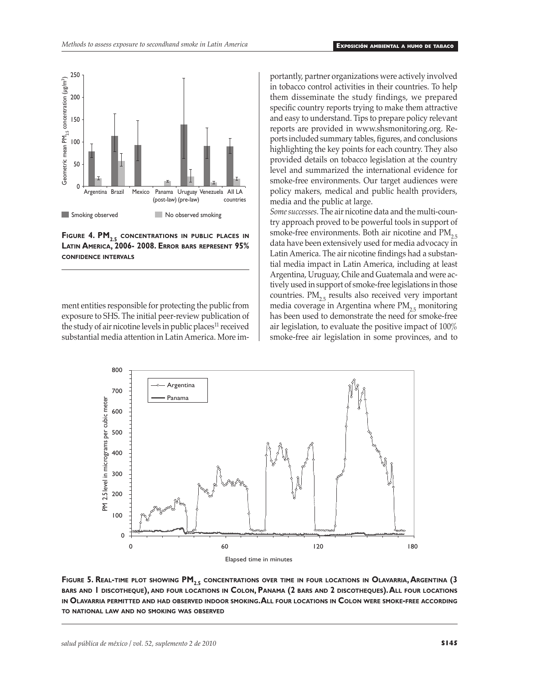

**FIGURE 4. PM<sub>2.5</sub> CONCENTRATIONS IN PUBLIC PLACES IN Latin America, 2006- 2008. Error bars represent 95% confidence intervals**

ment entities responsible for protecting the public from exposure to SHS. The initial peer-review publication of the study of air nicotine levels in public places<sup>11</sup> received substantial media attention in Latin America. More importantly, partner organizations were actively involved in tobacco control activities in their countries. To help them disseminate the study findings, we prepared specific country reports trying to make them attractive and easy to understand. Tips to prepare policy relevant reports are provided in www.shsmonitoring.org. Reports included summary tables, figures, and conclusions highlighting the key points for each country. They also provided details on tobacco legislation at the country level and summarized the international evidence for smoke-free environments. Our target audiences were policy makers, medical and public health providers, media and the public at large.

*Some successes.* The air nicotine data and the multi-country approach proved to be powerful tools in support of smoke-free environments. Both air nicotine and  $PM_{2.5}$ data have been extensively used for media advocacy in Latin America. The air nicotine findings had a substantial media impact in Latin America, including at least Argentina, Uruguay, Chile and Guatemala and were actively used in support of smoke-free legislations in those countries.  $PM<sub>2.5</sub>$  results also received very important media coverage in Argentina where  $PM_{2.5}$  monitoring has been used to demonstrate the need for smoke-free air legislation, to evaluate the positive impact of 100% smoke-free air legislation in some provinces, and to



**Figure 5. Real-time plot showing PM2.5 concentrations over time in four locations in Olavarria, Argentina (3 bars and 1 discotheque), and four locations in Colon, Panama (2 bars and 2 discotheques). All four locations in Olavarria permitted and had observed indoor smoking. All four locations in Colon were smoke-free according to national law and no smoking was observed**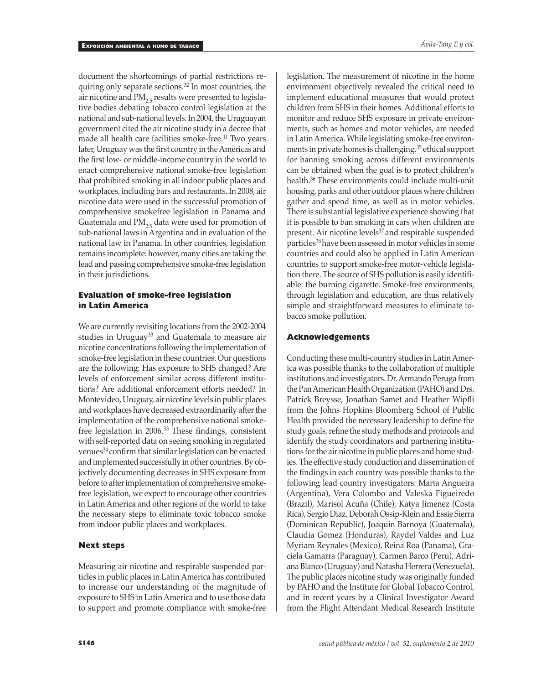document the shortcomings of partial restrictions requiring only separate sections.32 In most countries, the air nicotine and  $PM_{2.5}$  results were presented to legislative bodies debating tobacco control legislation at the national and sub-national levels. In 2004, the Uruguayan government cited the air nicotine study in a decree that made all health care facilities smoke-free.<sup>11</sup> Two years later, Uruguay was the first country in the Americas and the first low- or middle-income country in the world to enact comprehensive national smoke-free legislation that prohibited smoking in all indoor public places and workplaces, including bars and restaurants. In 2008, air nicotine data were used in the successful promotion of comprehensive smokefree legislation in Panama and Guatemala and  $PM_{2,5}$  data were used for promotion of sub-national laws in Argentina and in evaluation of the national law in Panama. In other countries, legislation remains incomplete: however, many cities are taking the lead and passing comprehensive smoke-free legislation in their jurisdictions.

# **Evaluation of smoke-free legislation in Latin America**

We are currently revisiting locations from the 2002-2004 studies in Uruguay<sup>33</sup> and Guatemala to measure air nicotine concentrations following the implementation of smoke-free legislation in these countries. Our questions are the following: Has exposure to SHS changed? Are levels of enforcement similar across different institutions? Are additional enforcement efforts needed? In Montevideo, Uruguay, air nicotine levels in public places and workplaces have decreased extraordinarily after the implementation of the comprehensive national smokefree legislation in 2006.<sup>33</sup> These findings, consistent with self-reported data on seeing smoking in regulated venues<sup>34</sup> confirm that similar legislation can be enacted and implemented successfully in other countries. By objectively documenting decreases in SHS exposure from before to after implementation of comprehensive smokefree legislation, we expect to encourage other countries in Latin America and other regions of the world to take the necessary steps to eliminate toxic tobacco smoke from indoor public places and workplaces.

### **Next steps**

Measuring air nicotine and respirable suspended particles in public places in Latin America has contributed to increase our understanding of the magnitude of exposure to SHS in Latin America and to use those data to support and promote compliance with smoke-free legislation. The measurement of nicotine in the home environment objectively revealed the critical need to implement educational measures that would protect children from SHS in their homes. Additional efforts to monitor and reduce SHS exposure in private environments, such as homes and motor vehicles, are needed in Latin America. While legislating smoke-free environments in private homes is challenging,<sup>35</sup> ethical support for banning smoking across different environments can be obtained when the goal is to protect children's health.36 These environments could include multi-unit housing, parks and other outdoor places where children gather and spend time, as well as in motor vehicles. There is substantial legislative experience showing that it is possible to ban smoking in cars when children are present. Air nicotine levels<sup>37</sup> and respirable suspended particles38 have been assessed in motor vehicles in some countries and could also be applied in Latin American countries to support smoke-free motor-vehicle legislation there. The source of SHS pollution is easily identifiable: the burning cigarette. Smoke-free environments, through legislation and education, are thus relatively simple and straightforward measures to eliminate tobacco smoke pollution.

## **Acknowledgements**

Conducting these multi-country studies in Latin America was possible thanks to the collaboration of multiple institutions and investigators. Dr. Armando Peruga from the Pan American Health Organization (PAHO) and Drs. Patrick Breysse, Jonathan Samet and Heather Wipfli from the Johns Hopkins Bloomberg School of Public Health provided the necessary leadership to define the study goals, refine the study methods and protocols and identify the study coordinators and partnering institutions for the air nicotine in public places and home studies. The effective study conduction and dissemination of the findings in each country was possible thanks to the following lead country investigators: Marta Angueira (Argentina), Vera Colombo and Valeska Figueiredo (Brazil), Marisol Acuña (Chile), Katya Jimenez (Costa Rica), Sergio Diaz, Deborah Ossip-Klein and Essie Sierra (Dominican Republic), Joaquin Barnoya (Guatemala), Claudia Gomez (Honduras), Raydel Valdes and Luz Myriam Reynales (Mexico), Reina Roa (Panama), Graciela Gamarra (Paraguay), Carmen Barco (Peru), Adriana Blanco (Uruguay) and Natasha Herrera (Venezuela). The public places nicotine study was originally funded by PAHO and the Institute for Global Tobacco Control, and in recent years by a Clinical Investigator Award from the Flight Attendant Medical Research Institute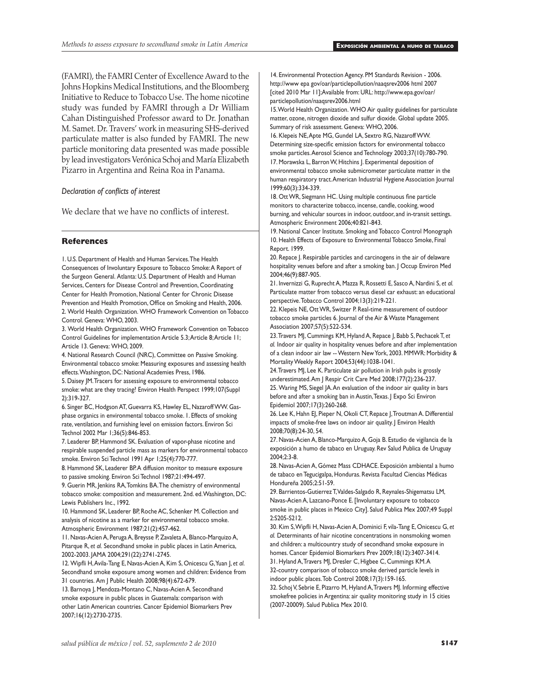(FAMRI), the FAMRI Center of Excellence Award to the Johns Hopkins Medical Institutions, and the Bloomberg Initiative to Reduce to Tobacco Use. The home nicotine study was funded by FAMRI through a Dr William Cahan Distinguished Professor award to Dr. Jonathan M. Samet. Dr. Travers' work in measuring SHS-derived particulate matter is also funded by FAMRI. The new particle monitoring data presented was made possible by lead investigators Verónica Schoj and María Elizabeth Pizarro in Argentina and Reina Roa in Panama.

#### *Declaration of conflicts of interest*

We declare that we have no conflicts of interest.

#### **References**

1. U.S. Department of Health and Human Services. The Health Consequences of Involuntary Exposure to Tobacco Smoke: A Report of the Surgeon General. Atlanta: U.S. Department of Health and Human Services, Centers for Disease Control and Prevention, Coordinating Center for Health Promotion, National Center for Chronic Disease Prevention and Health Promotion, Office on Smoking and Health, 2006. 2. World Health Organization. WHO Framework Convention on Tobacco Control. Geneva: WHO, 2003.

3. World Health Organization. WHO Framework Convention on Tobacco Control Guidelines for implementation Article 5.3; Article 8; Article 11; Article 13. Geneva: WHO, 2009.

4. National Research Council (NRC), Committee on Passive Smoking. Environmental tobacco smoke: Measuring exposures and assessing health effects. Washington, DC: National Academies Press, 1986.

5. Daisey JM. Tracers for assessing exposure to environmental tobacco smoke: what are they tracing? Environ Health Perspect 1999;107(Suppl 2):319-327.

6. Singer BC, Hodgson AT, Guevarra KS, Hawley EL, Nazaroff WW. Gasphase organics in environmental tobacco smoke. 1. Effects of smoking rate, ventilation, and furnishing level on emission factors. Environ Sci Technol 2002 Mar 1;36(5):846-853.

7. Leaderer BP, Hammond SK. Evaluation of vapor-phase nicotine and respirable suspended particle mass as markers for environmental tobacco smoke. Environ Sci Technol 1991 Apr 1;25(4):770-777.

8. Hammond SK, Leaderer BP.A diffusion monitor to measure exposure to passive smoking. Environ Sci Technol 1987;21:494-497.

9. Guerin MR, Jenkins RA, Tomkins BA. The chemistry of environmental tobacco smoke: composition and measurement. 2nd. ed. Washington, DC: Lewis Publishers Inc., 1992.

10. Hammond SK, Leaderer BP, Roche AC, Schenker M. Collection and analysis of nicotine as a marker for environmental tobacco smoke. Atmospheric Environment 1987;21(2):457-462.

11. Navas-Acien A, Peruga A, Breysse P, Zavaleta A, Blanco-Marquizo A, Pitarque R, *et al.* Secondhand smoke in public places in Latin America, 2002-2003. JAMA 2004;291(22):2741-2745.

12. Wipfli H, Avila-Tang E, Navas-Acien A, Kim S, Onicescu G, Yuan J, *et al*. Secondhand smoke exposure among women and children: Evidence from 31 countries. Am J Public Health 2008;98(4):672-679.

13. Barnoya J, Mendoza-Montano C, Navas-Acien A. Secondhand smoke exposure in public places in Guatemala: comparison with other Latin American countries. Cancer Epidemiol Biomarkers Prev 2007;16(12):2730-2735.

14. Environmental Protection Agency. PM Standards Revision - 2006. http://www epa gov/oar/particlepollution/naaqsrev2006 html 2007 [cited 2010 Mar 11];Available from: URL: http://www.epa.gov/oar/ particlepollution/naaqsrev2006.html

15. World Health Organization. WHO Air quality guidelines for particulate matter, ozone, nitrogen dioxide and sulfur dioxide. Global update 2005. Summary of risk assessment. Geneva: WHO, 2006.

16. Klepeis NE, Apte MG, Gundel LA, Sextro RG, Nazaroff WW. Determining size-specific emission factors for environmental tobacco smoke particles. Aerosol Science and Technology 2003;37(10):780-790. 17. Morawska L, Barron W, Hitchins J. Experimental deposition of environmental tobacco smoke submicrometer particulate matter in the human respiratory tract. American Industrial Hygiene Association Journal 1999;60(3):334-339.

18. Ott WR, Siegmann HC. Using multiple continuous fine particle monitors to characterize tobacco, incense, candle, cooking, wood burning, and vehicular sources in indoor, outdoor, and in-transit settings. Atmospheric Environment 2006;40:821-843.

19. National Cancer Institute. Smoking and Tobacco Control Monograph 10. Health Effects of Exposure to Environmental Tobacco Smoke, Final Report. 1999.

20. Repace J. Respirable particles and carcinogens in the air of delaware hospitality venues before and after a smoking ban. | Occup Environ Med 2004;46(9):887-905.

21. Invernizzi G, Ruprecht A, Mazza R, Rossetti E, Sasco A, Nardini S, *et al.* Particulate matter from tobacco versus diesel car exhaust: an educational perspective. Tobacco Control 2004;13(3):219-221.

22. Klepeis NE, Ott WR, Switzer P. Real-time measurement of outdoor tobacco smoke particles 6. Journal of the Air & Waste Management Association 2007;57(5):522-534.

23. Travers MJ, Cummings KM, Hyland A, Repace J, Babb S, Pechacek T, *et al.* Indoor air quality in hospitality venues before and after implementation of a clean indoor air law -- Western New York, 2003. MMWR: Morbidity & Mortality Weekly Report 2004;53(44):1038-1041.

24. Travers MJ, Lee K. Particulate air pollution in Irish pubs is grossly underestimated. Am | Respir Crit Care Med 2008; 177(2):236-237. 25. Waring MS, Siegel JA. An evaluation of the indoor air quality in bars before and after a smoking ban in Austin, Texas. J Expo Sci Environ Epidemiol 2007;17(3):260-268.

26. Lee K, Hahn EJ, Pieper N, Okoli CT, Repace J, Troutman A. Differential impacts of smoke-free laws on indoor air quality. J Environ Health 2008;70(8):24-30, 54.

27. Navas-Acien A, Blanco-Marquizo A, Goja B. Estudio de vigilancia de la exposición a humo de tabaco en Uruguay. Rev Salud Publica de Uruguay  $2004.2.3 - 8$ 

28. Navas-Acien A, Gómez Mass CDHACE. Exposición ambiental a humo de tabaco en Tegucigalpa, Honduras. Revista Facultad Ciencias Médicas Hondureña 2005;2:51-59.

29. Barrientos-Gutierrez T, Valdes-Salgado R, Reynales-Shigematsu LM, Navas-Acien A, Lazcano-Ponce E. [Involuntary exposure to tobacco smoke in public places in Mexico City]. Salud Publica Mex 2007;49 Suppl 2:S205-S212.

30. Kim S, Wipfli H, Navas-Acien A, Dominici F, vila-Tang E, Onicescu G, *et al.* Determinants of hair nicotine concentrations in nonsmoking women and children: a multicountry study of secondhand smoke exposure in homes. Cancer Epidemiol Biomarkers Prev 2009;18(12):3407-3414. 31. Hyland A, Travers MJ, Dresler C, Higbee C, Cummings KM. A

32-country comparison of tobacco smoke derived particle levels in indoor public places. Tob Control 2008;17(3):159-165.

32. Schoj V, Sebrie E, Pizarro M, Hyland A, Travers MJ. Informing effective smokefree policies in Argentina: air quality monitoring study in 15 cities (2007-20009). Salud Publica Mex 2010.